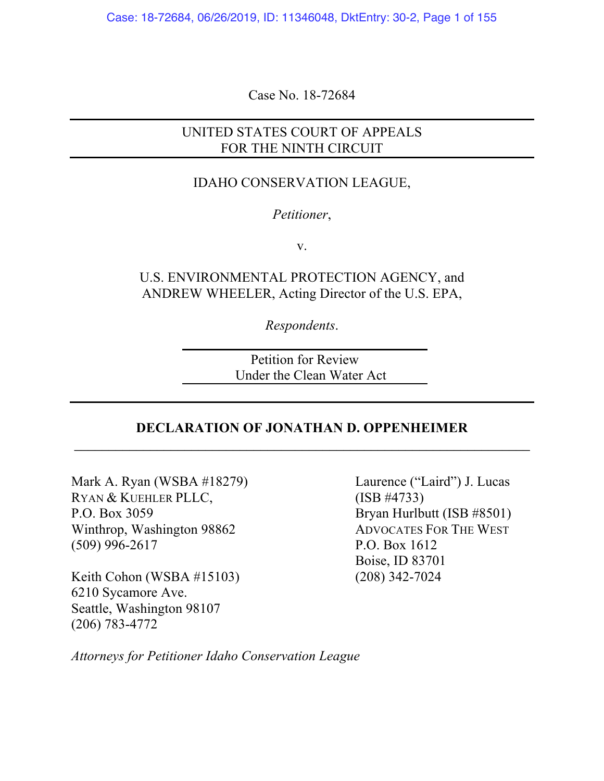Case: 18-72684, 06/26/2019, ID: 11346048, DktEntry: 30-2, Page 1 of 155

Case No. 18-72684

# UNITED STATES COURT OF APPEALS FOR THE NINTH CIRCUIT

## IDAHO CONSERVATION LEAGUE,

### *Petitioner*,

v.

U.S. ENVIRONMENTAL PROTECTION AGENCY, and ANDREW WHEELER, Acting Director of the U.S. EPA,

*Respondents*.

Petition for Review Under the Clean Water Act

## **DECLARATION OF JONATHAN D. OPPENHEIMER** \_\_\_\_\_\_\_\_\_\_\_\_\_\_\_\_\_\_\_\_\_\_\_\_\_\_\_\_\_\_\_\_\_\_\_\_\_\_\_\_\_\_\_\_\_\_\_\_\_\_\_\_\_\_\_\_\_\_\_\_\_\_\_\_\_\_

Mark A. Ryan (WSBA #18279) Laurence ("Laird") J. Lucas RYAN & KUEHLER PLLC, (ISB #4733) P.O. Box 3059 Bryan Hurlbutt (ISB #8501) Winthrop, Washington 98862 ADVOCATES FOR THE WEST (509) 996-2617 P.O. Box 1612

Keith Cohon (WSBA  $#15103$ ) 6210 Sycamore Ave. Seattle, Washington 98107 (206) 783-4772

Boise, ID 83701<br>(208) 342-7024

*Attorneys for Petitioner Idaho Conservation League*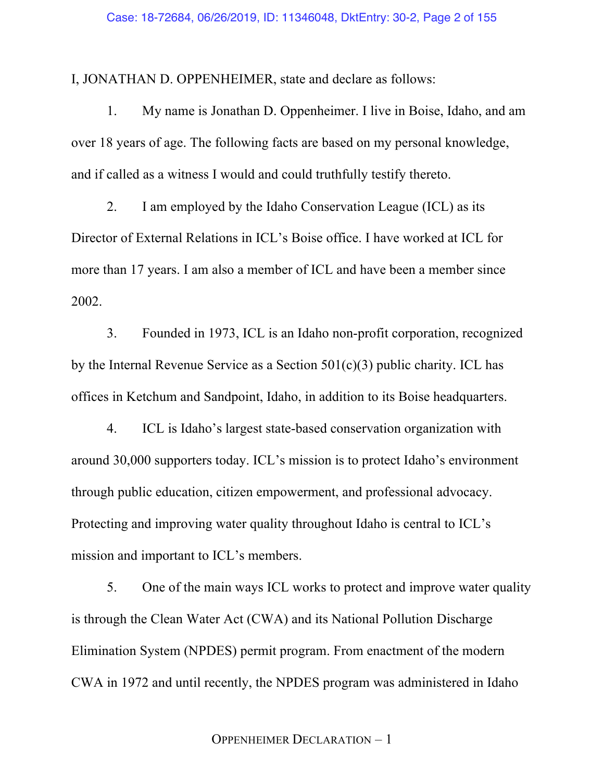I, JONATHAN D. OPPENHEIMER, state and declare as follows:

1. My name is Jonathan D. Oppenheimer. I live in Boise, Idaho, and am over 18 years of age. The following facts are based on my personal knowledge, and if called as a witness I would and could truthfully testify thereto.

2. I am employed by the Idaho Conservation League (ICL) as its Director of External Relations in ICL's Boise office. I have worked at ICL for more than 17 years. I am also a member of ICL and have been a member since 2002.

3. Founded in 1973, ICL is an Idaho non-profit corporation, recognized by the Internal Revenue Service as a Section  $501(c)(3)$  public charity. ICL has offices in Ketchum and Sandpoint, Idaho, in addition to its Boise headquarters.

4. ICL is Idaho's largest state-based conservation organization with around 30,000 supporters today. ICL's mission is to protect Idaho's environment through public education, citizen empowerment, and professional advocacy. Protecting and improving water quality throughout Idaho is central to ICL's mission and important to ICL's members.

5. One of the main ways ICL works to protect and improve water quality is through the Clean Water Act (CWA) and its National Pollution Discharge Elimination System (NPDES) permit program. From enactment of the modern CWA in 1972 and until recently, the NPDES program was administered in Idaho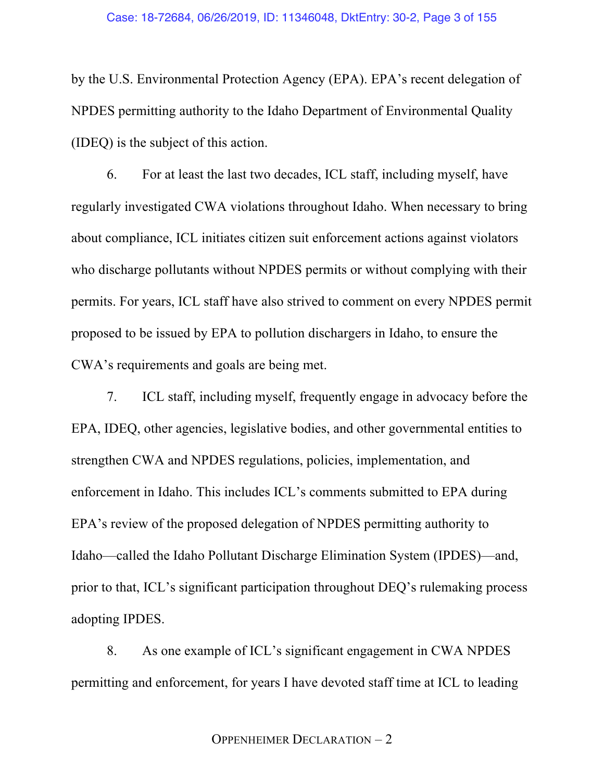by the U.S. Environmental Protection Agency (EPA). EPA's recent delegation of NPDES permitting authority to the Idaho Department of Environmental Quality (IDEQ) is the subject of this action.

6. For at least the last two decades, ICL staff, including myself, have regularly investigated CWA violations throughout Idaho. When necessary to bring about compliance, ICL initiates citizen suit enforcement actions against violators who discharge pollutants without NPDES permits or without complying with their permits. For years, ICL staff have also strived to comment on every NPDES permit proposed to be issued by EPA to pollution dischargers in Idaho, to ensure the CWA's requirements and goals are being met.

7. ICL staff, including myself, frequently engage in advocacy before the EPA, IDEQ, other agencies, legislative bodies, and other governmental entities to strengthen CWA and NPDES regulations, policies, implementation, and enforcement in Idaho. This includes ICL's comments submitted to EPA during EPA's review of the proposed delegation of NPDES permitting authority to Idaho—called the Idaho Pollutant Discharge Elimination System (IPDES)—and, prior to that, ICL's significant participation throughout DEQ's rulemaking process adopting IPDES.

8. As one example of ICL's significant engagement in CWA NPDES permitting and enforcement, for years I have devoted staff time at ICL to leading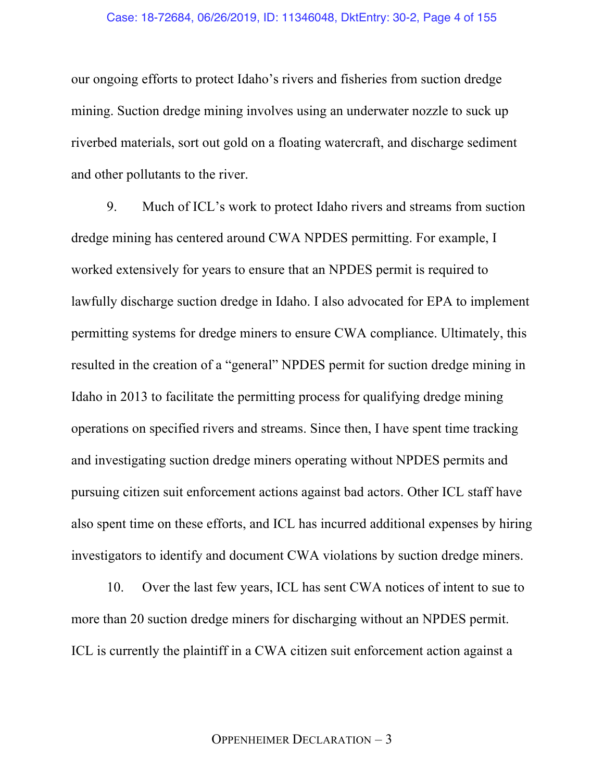### Case: 18-72684, 06/26/2019, ID: 11346048, DktEntry: 30-2, Page 4 of 155

our ongoing efforts to protect Idaho's rivers and fisheries from suction dredge mining. Suction dredge mining involves using an underwater nozzle to suck up riverbed materials, sort out gold on a floating watercraft, and discharge sediment and other pollutants to the river.

9. Much of ICL's work to protect Idaho rivers and streams from suction dredge mining has centered around CWA NPDES permitting. For example, I worked extensively for years to ensure that an NPDES permit is required to lawfully discharge suction dredge in Idaho. I also advocated for EPA to implement permitting systems for dredge miners to ensure CWA compliance. Ultimately, this resulted in the creation of a "general" NPDES permit for suction dredge mining in Idaho in 2013 to facilitate the permitting process for qualifying dredge mining operations on specified rivers and streams. Since then, I have spent time tracking and investigating suction dredge miners operating without NPDES permits and pursuing citizen suit enforcement actions against bad actors. Other ICL staff have also spent time on these efforts, and ICL has incurred additional expenses by hiring investigators to identify and document CWA violations by suction dredge miners.

10. Over the last few years, ICL has sent CWA notices of intent to sue to more than 20 suction dredge miners for discharging without an NPDES permit. ICL is currently the plaintiff in a CWA citizen suit enforcement action against a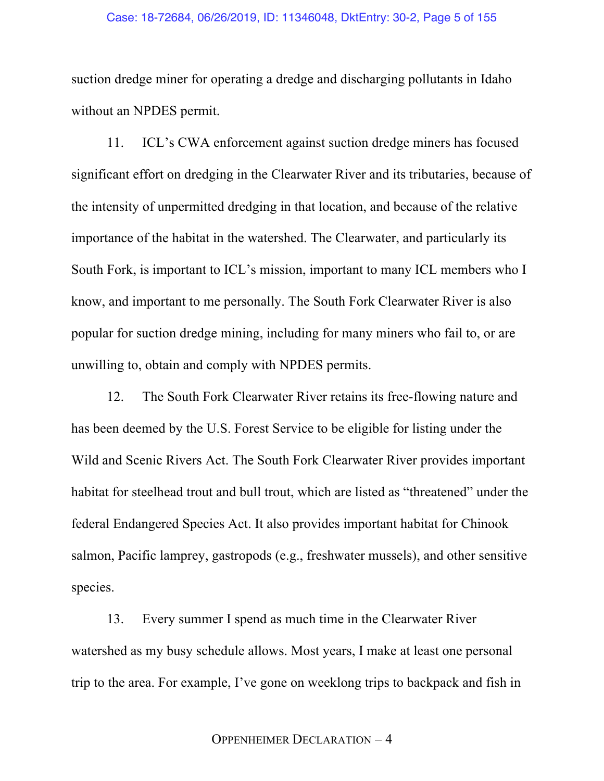### Case: 18-72684, 06/26/2019, ID: 11346048, DktEntry: 30-2, Page 5 of 155

suction dredge miner for operating a dredge and discharging pollutants in Idaho without an NPDES permit.

11. ICL's CWA enforcement against suction dredge miners has focused significant effort on dredging in the Clearwater River and its tributaries, because of the intensity of unpermitted dredging in that location, and because of the relative importance of the habitat in the watershed. The Clearwater, and particularly its South Fork, is important to ICL's mission, important to many ICL members who I know, and important to me personally. The South Fork Clearwater River is also popular for suction dredge mining, including for many miners who fail to, or are unwilling to, obtain and comply with NPDES permits.

12. The South Fork Clearwater River retains its free-flowing nature and has been deemed by the U.S. Forest Service to be eligible for listing under the Wild and Scenic Rivers Act. The South Fork Clearwater River provides important habitat for steelhead trout and bull trout, which are listed as "threatened" under the federal Endangered Species Act. It also provides important habitat for Chinook salmon, Pacific lamprey, gastropods (e.g., freshwater mussels), and other sensitive species.

13. Every summer I spend as much time in the Clearwater River watershed as my busy schedule allows. Most years, I make at least one personal trip to the area. For example, I've gone on weeklong trips to backpack and fish in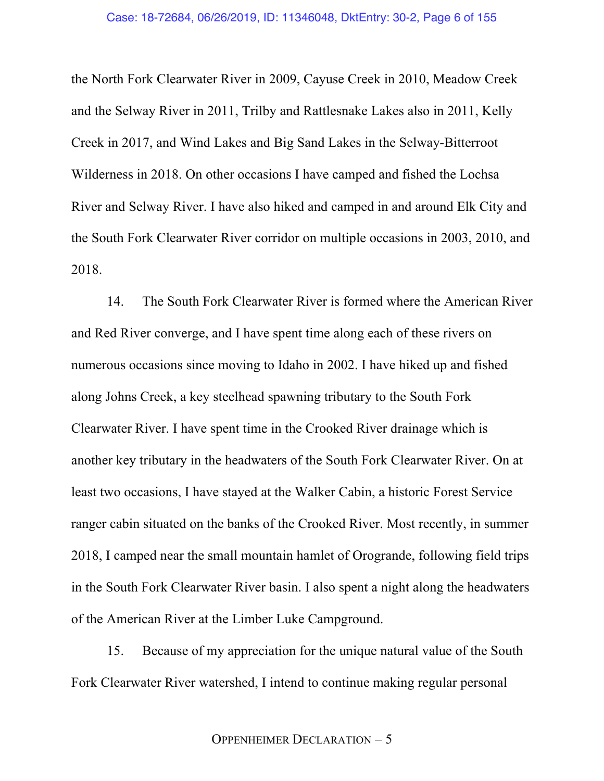the North Fork Clearwater River in 2009, Cayuse Creek in 2010, Meadow Creek and the Selway River in 2011, Trilby and Rattlesnake Lakes also in 2011, Kelly Creek in 2017, and Wind Lakes and Big Sand Lakes in the Selway-Bitterroot Wilderness in 2018. On other occasions I have camped and fished the Lochsa River and Selway River. I have also hiked and camped in and around Elk City and the South Fork Clearwater River corridor on multiple occasions in 2003, 2010, and 2018.

14. The South Fork Clearwater River is formed where the American River and Red River converge, and I have spent time along each of these rivers on numerous occasions since moving to Idaho in 2002. I have hiked up and fished along Johns Creek, a key steelhead spawning tributary to the South Fork Clearwater River. I have spent time in the Crooked River drainage which is another key tributary in the headwaters of the South Fork Clearwater River. On at least two occasions, I have stayed at the Walker Cabin, a historic Forest Service ranger cabin situated on the banks of the Crooked River. Most recently, in summer 2018, I camped near the small mountain hamlet of Orogrande, following field trips in the South Fork Clearwater River basin. I also spent a night along the headwaters of the American River at the Limber Luke Campground.

15. Because of my appreciation for the unique natural value of the South Fork Clearwater River watershed, I intend to continue making regular personal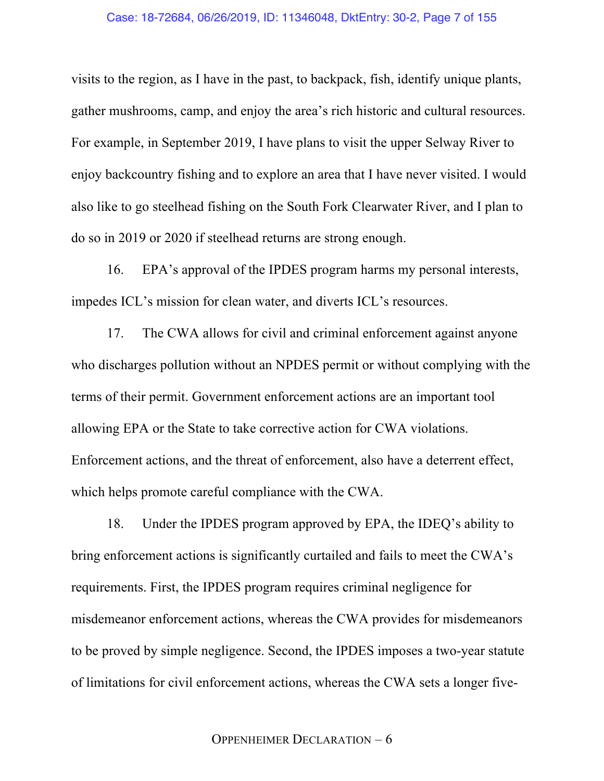visits to the region, as I have in the past, to backpack, fish, identify unique plants, gather mushrooms, camp, and enjoy the area's rich historic and cultural resources. For example, in September 2019, I have plans to visit the upper Selway River to enjoy backcountry fishing and to explore an area that I have never visited. I would also like to go steelhead fishing on the South Fork Clearwater River, and I plan to do so in 2019 or 2020 if steelhead returns are strong enough.

16. EPA's approval of the IPDES program harms my personal interests, impedes ICL's mission for clean water, and diverts ICL's resources.

17. The CWA allows for civil and criminal enforcement against anyone who discharges pollution without an NPDES permit or without complying with the terms of their permit. Government enforcement actions are an important tool allowing EPA or the State to take corrective action for CWA violations. Enforcement actions, and the threat of enforcement, also have a deterrent effect, which helps promote careful compliance with the CWA.

18. Under the IPDES program approved by EPA, the IDEQ's ability to bring enforcement actions is significantly curtailed and fails to meet the CWA's requirements. First, the IPDES program requires criminal negligence for misdemeanor enforcement actions, whereas the CWA provides for misdemeanors to be proved by simple negligence. Second, the IPDES imposes a two-year statute of limitations for civil enforcement actions, whereas the CWA sets a longer five-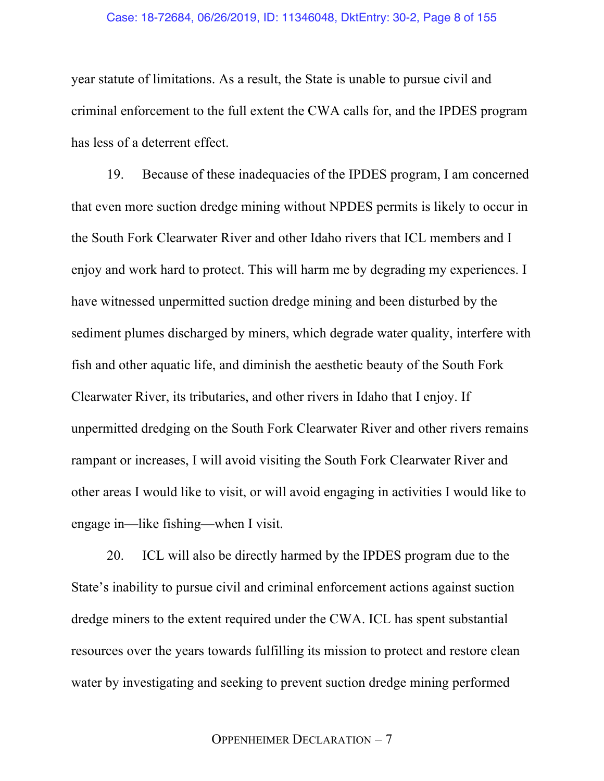### Case: 18-72684, 06/26/2019, ID: 11346048, DktEntry: 30-2, Page 8 of 155

year statute of limitations. As a result, the State is unable to pursue civil and criminal enforcement to the full extent the CWA calls for, and the IPDES program has less of a deterrent effect.

19. Because of these inadequacies of the IPDES program, I am concerned that even more suction dredge mining without NPDES permits is likely to occur in the South Fork Clearwater River and other Idaho rivers that ICL members and I enjoy and work hard to protect. This will harm me by degrading my experiences. I have witnessed unpermitted suction dredge mining and been disturbed by the sediment plumes discharged by miners, which degrade water quality, interfere with fish and other aquatic life, and diminish the aesthetic beauty of the South Fork Clearwater River, its tributaries, and other rivers in Idaho that I enjoy. If unpermitted dredging on the South Fork Clearwater River and other rivers remains rampant or increases, I will avoid visiting the South Fork Clearwater River and other areas I would like to visit, or will avoid engaging in activities I would like to engage in—like fishing—when I visit.

20. ICL will also be directly harmed by the IPDES program due to the State's inability to pursue civil and criminal enforcement actions against suction dredge miners to the extent required under the CWA. ICL has spent substantial resources over the years towards fulfilling its mission to protect and restore clean water by investigating and seeking to prevent suction dredge mining performed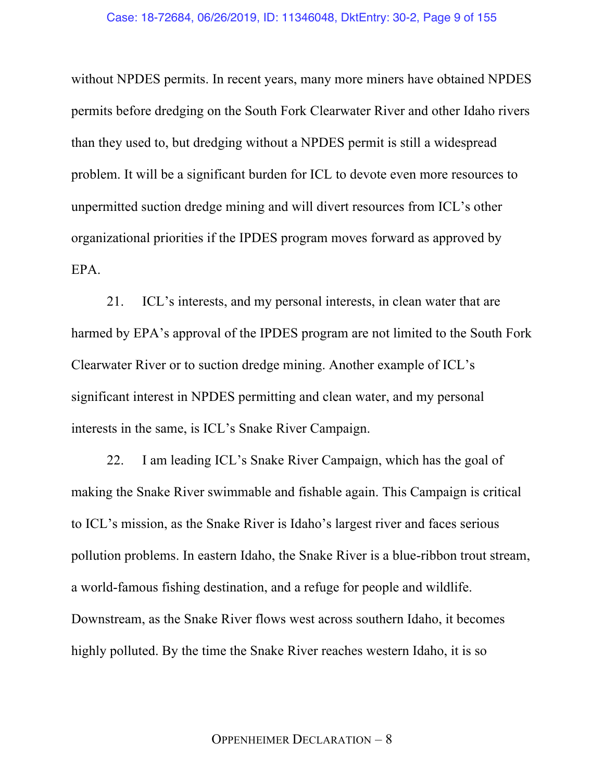without NPDES permits. In recent years, many more miners have obtained NPDES permits before dredging on the South Fork Clearwater River and other Idaho rivers than they used to, but dredging without a NPDES permit is still a widespread problem. It will be a significant burden for ICL to devote even more resources to unpermitted suction dredge mining and will divert resources from ICL's other organizational priorities if the IPDES program moves forward as approved by EPA.

21. ICL's interests, and my personal interests, in clean water that are harmed by EPA's approval of the IPDES program are not limited to the South Fork Clearwater River or to suction dredge mining. Another example of ICL's significant interest in NPDES permitting and clean water, and my personal interests in the same, is ICL's Snake River Campaign.

22. I am leading ICL's Snake River Campaign, which has the goal of making the Snake River swimmable and fishable again. This Campaign is critical to ICL's mission, as the Snake River is Idaho's largest river and faces serious pollution problems. In eastern Idaho, the Snake River is a blue-ribbon trout stream, a world-famous fishing destination, and a refuge for people and wildlife. Downstream, as the Snake River flows west across southern Idaho, it becomes highly polluted. By the time the Snake River reaches western Idaho, it is so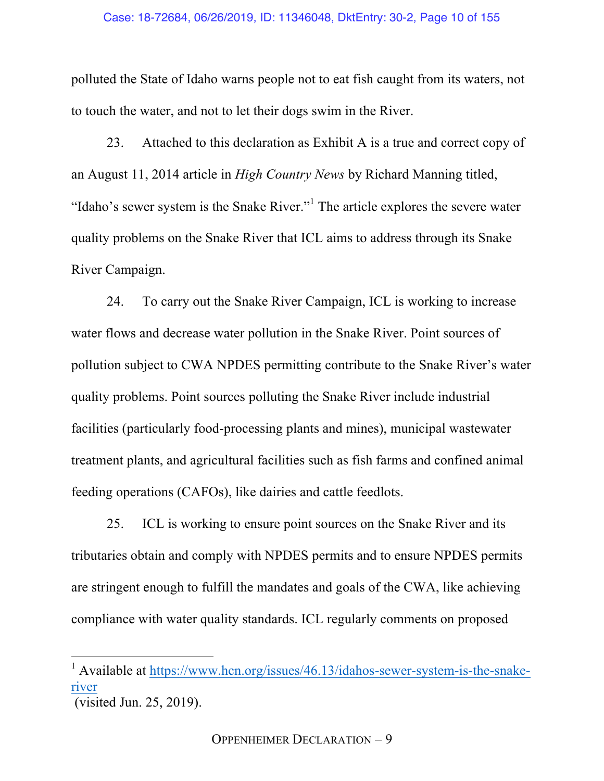polluted the State of Idaho warns people not to eat fish caught from its waters, not to touch the water, and not to let their dogs swim in the River.

23. Attached to this declaration as Exhibit A is a true and correct copy of an August 11, 2014 article in *High Country News* by Richard Manning titled, "Idaho's sewer system is the Snake River."<sup>1</sup> The article explores the severe water quality problems on the Snake River that ICL aims to address through its Snake River Campaign.

24. To carry out the Snake River Campaign, ICL is working to increase water flows and decrease water pollution in the Snake River. Point sources of pollution subject to CWA NPDES permitting contribute to the Snake River's water quality problems. Point sources polluting the Snake River include industrial facilities (particularly food-processing plants and mines), municipal wastewater treatment plants, and agricultural facilities such as fish farms and confined animal feeding operations (CAFOs), like dairies and cattle feedlots.

25. ICL is working to ensure point sources on the Snake River and its tributaries obtain and comply with NPDES permits and to ensure NPDES permits are stringent enough to fulfill the mandates and goals of the CWA, like achieving compliance with water quality standards. ICL regularly comments on proposed

<sup>&</sup>lt;sup>1</sup> Available at https://www.hcn.org/issues/46.13/idahos-sewer-system-is-the-snakeriver

<sup>(</sup>visited Jun. 25, 2019).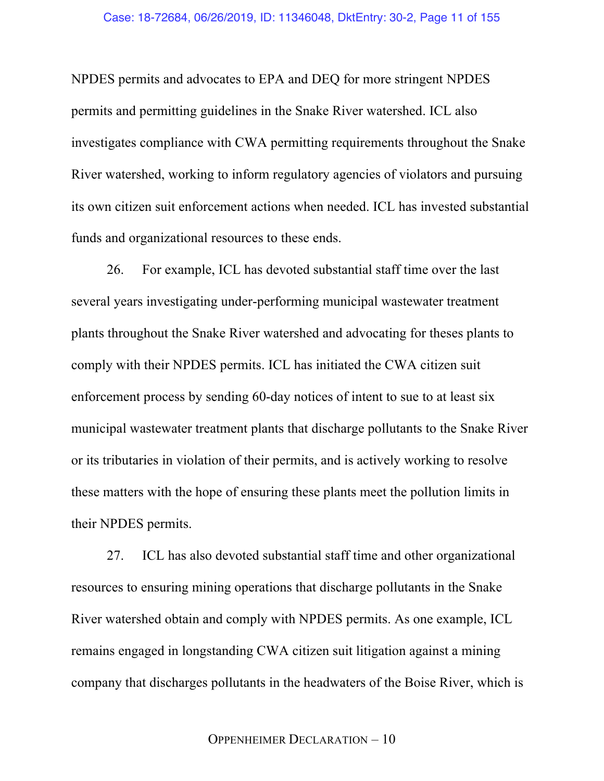NPDES permits and advocates to EPA and DEQ for more stringent NPDES permits and permitting guidelines in the Snake River watershed. ICL also investigates compliance with CWA permitting requirements throughout the Snake River watershed, working to inform regulatory agencies of violators and pursuing its own citizen suit enforcement actions when needed. ICL has invested substantial funds and organizational resources to these ends.

26. For example, ICL has devoted substantial staff time over the last several years investigating under-performing municipal wastewater treatment plants throughout the Snake River watershed and advocating for theses plants to comply with their NPDES permits. ICL has initiated the CWA citizen suit enforcement process by sending 60-day notices of intent to sue to at least six municipal wastewater treatment plants that discharge pollutants to the Snake River or its tributaries in violation of their permits, and is actively working to resolve these matters with the hope of ensuring these plants meet the pollution limits in their NPDES permits.

27. ICL has also devoted substantial staff time and other organizational resources to ensuring mining operations that discharge pollutants in the Snake River watershed obtain and comply with NPDES permits. As one example, ICL remains engaged in longstanding CWA citizen suit litigation against a mining company that discharges pollutants in the headwaters of the Boise River, which is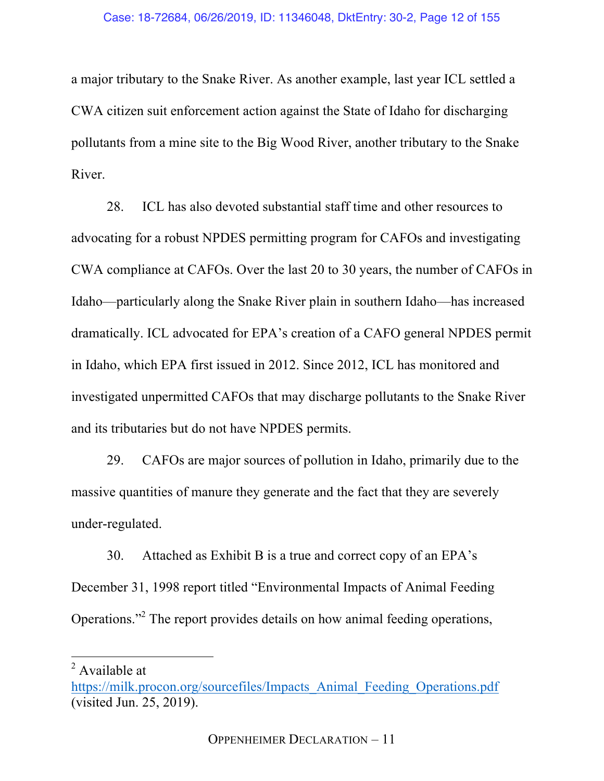a major tributary to the Snake River. As another example, last year ICL settled a CWA citizen suit enforcement action against the State of Idaho for discharging pollutants from a mine site to the Big Wood River, another tributary to the Snake River.

28. ICL has also devoted substantial staff time and other resources to advocating for a robust NPDES permitting program for CAFOs and investigating CWA compliance at CAFOs. Over the last 20 to 30 years, the number of CAFOs in Idaho—particularly along the Snake River plain in southern Idaho—has increased dramatically. ICL advocated for EPA's creation of a CAFO general NPDES permit in Idaho, which EPA first issued in 2012. Since 2012, ICL has monitored and investigated unpermitted CAFOs that may discharge pollutants to the Snake River and its tributaries but do not have NPDES permits.

29. CAFOs are major sources of pollution in Idaho, primarily due to the massive quantities of manure they generate and the fact that they are severely under-regulated.

30. Attached as Exhibit B is a true and correct copy of an EPA's December 31, 1998 report titled "Environmental Impacts of Animal Feeding Operations."<sup>2</sup> The report provides details on how animal feeding operations,

<sup>&</sup>lt;sup>2</sup> Available at

https://milk.procon.org/sourcefiles/Impacts\_Animal\_Feeding\_Operations.pdf (visited Jun. 25, 2019).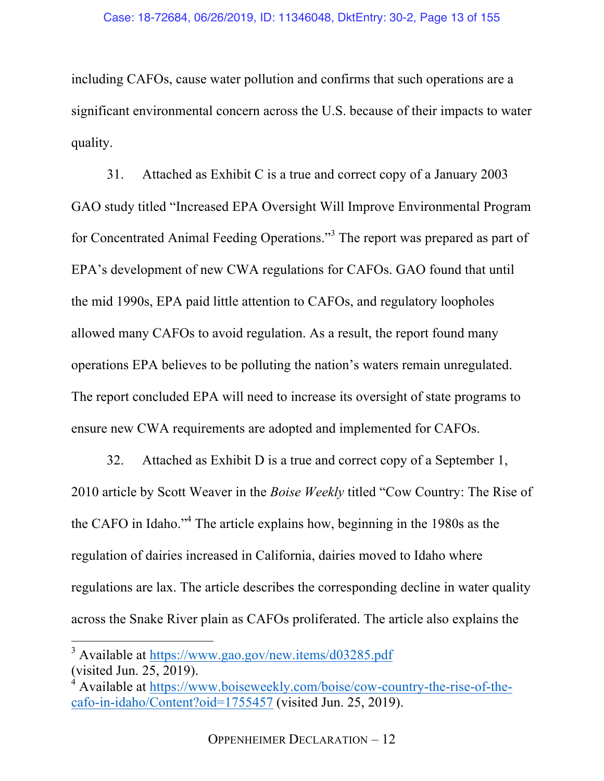including CAFOs, cause water pollution and confirms that such operations are a significant environmental concern across the U.S. because of their impacts to water quality.

31. Attached as Exhibit C is a true and correct copy of a January 2003 GAO study titled "Increased EPA Oversight Will Improve Environmental Program for Concentrated Animal Feeding Operations."<sup>3</sup> The report was prepared as part of EPA's development of new CWA regulations for CAFOs. GAO found that until the mid 1990s, EPA paid little attention to CAFOs, and regulatory loopholes allowed many CAFOs to avoid regulation. As a result, the report found many operations EPA believes to be polluting the nation's waters remain unregulated. The report concluded EPA will need to increase its oversight of state programs to ensure new CWA requirements are adopted and implemented for CAFOs.

32. Attached as Exhibit D is a true and correct copy of a September 1, 2010 article by Scott Weaver in the *Boise Weekly* titled "Cow Country: The Rise of the CAFO in Idaho."4 The article explains how, beginning in the 1980s as the regulation of dairies increased in California, dairies moved to Idaho where regulations are lax. The article describes the corresponding decline in water quality across the Snake River plain as CAFOs proliferated. The article also explains the

 <sup>3</sup> Available at https://www.gao.gov/new.items/d03285.pdf (visited Jun. 25, 2019).

<sup>4</sup> Available at https://www.boiseweekly.com/boise/cow-country-the-rise-of-thecafo-in-idaho/Content?oid=1755457 (visited Jun. 25, 2019).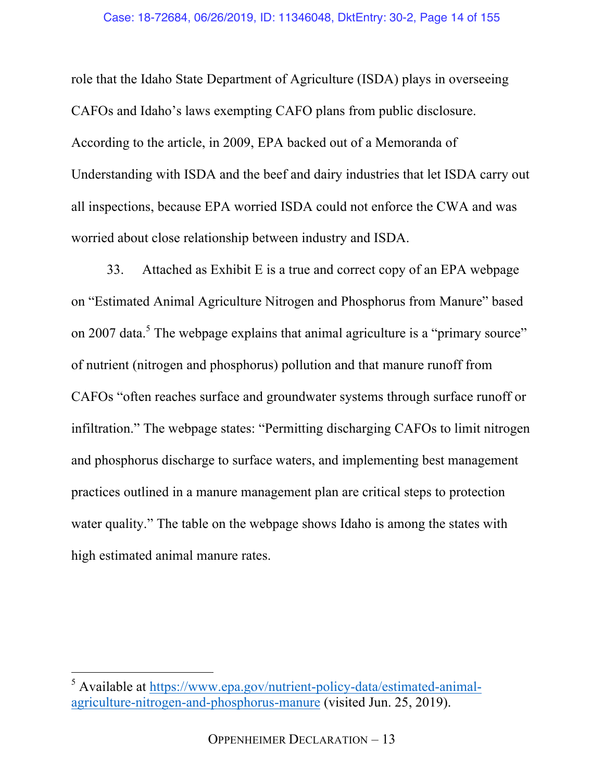role that the Idaho State Department of Agriculture (ISDA) plays in overseeing CAFOs and Idaho's laws exempting CAFO plans from public disclosure. According to the article, in 2009, EPA backed out of a Memoranda of Understanding with ISDA and the beef and dairy industries that let ISDA carry out all inspections, because EPA worried ISDA could not enforce the CWA and was worried about close relationship between industry and ISDA.

33. Attached as Exhibit E is a true and correct copy of an EPA webpage on "Estimated Animal Agriculture Nitrogen and Phosphorus from Manure" based on 2007 data.<sup>5</sup> The webpage explains that animal agriculture is a "primary source" of nutrient (nitrogen and phosphorus) pollution and that manure runoff from CAFOs "often reaches surface and groundwater systems through surface runoff or infiltration." The webpage states: "Permitting discharging CAFOs to limit nitrogen and phosphorus discharge to surface waters, and implementing best management practices outlined in a manure management plan are critical steps to protection water quality." The table on the webpage shows Idaho is among the states with high estimated animal manure rates.

 <sup>5</sup> Available at https://www.epa.gov/nutrient-policy-data/estimated-animalagriculture-nitrogen-and-phosphorus-manure (visited Jun. 25, 2019).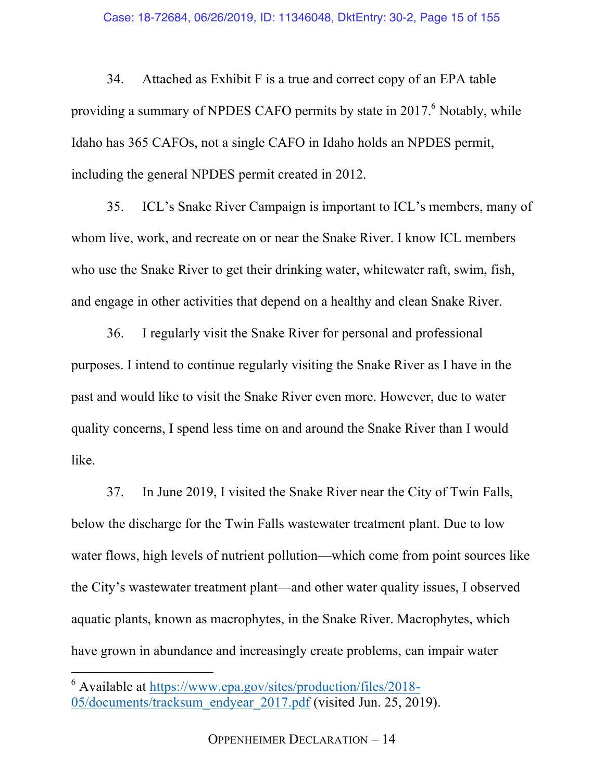34. Attached as Exhibit F is a true and correct copy of an EPA table providing a summary of NPDES CAFO permits by state in 2017.<sup>6</sup> Notably, while Idaho has 365 CAFOs, not a single CAFO in Idaho holds an NPDES permit, including the general NPDES permit created in 2012.

35. ICL's Snake River Campaign is important to ICL's members, many of whom live, work, and recreate on or near the Snake River. I know ICL members who use the Snake River to get their drinking water, whitewater raft, swim, fish, and engage in other activities that depend on a healthy and clean Snake River.

36. I regularly visit the Snake River for personal and professional purposes. I intend to continue regularly visiting the Snake River as I have in the past and would like to visit the Snake River even more. However, due to water quality concerns, I spend less time on and around the Snake River than I would like.

37. In June 2019, I visited the Snake River near the City of Twin Falls, below the discharge for the Twin Falls wastewater treatment plant. Due to low water flows, high levels of nutrient pollution—which come from point sources like the City's wastewater treatment plant—and other water quality issues, I observed aquatic plants, known as macrophytes, in the Snake River. Macrophytes, which have grown in abundance and increasingly create problems, can impair water

 <sup>6</sup> Available at https://www.epa.gov/sites/production/files/2018- 05/documents/tracksum\_endyear\_2017.pdf (visited Jun. 25, 2019).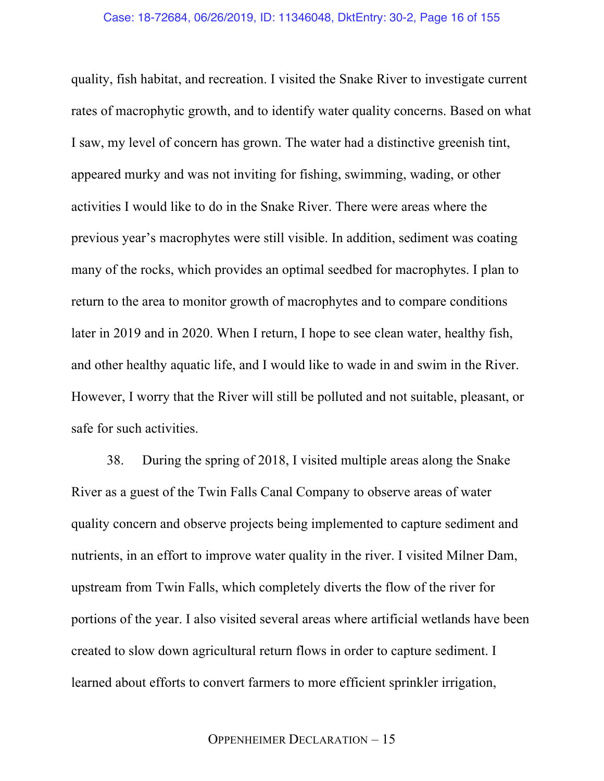quality, fish habitat, and recreation. I visited the Snake River to investigate current rates of macrophytic growth, and to identify water quality concerns. Based on what I saw, my level of concern has grown. The water had a distinctive greenish tint, appeared murky and was not inviting for fishing, swimming, wading, or other activities I would like to do in the Snake River. There were areas where the previous year's macrophytes were still visible. In addition, sediment was coating many of the rocks, which provides an optimal seedbed for macrophytes. I plan to return to the area to monitor growth of macrophytes and to compare conditions later in 2019 and in 2020. When I return, I hope to see clean water, healthy fish, and other healthy aquatic life, and I would like to wade in and swim in the River. However, I worry that the River will still be polluted and not suitable, pleasant, or safe for such activities.

38. During the spring of 2018, I visited multiple areas along the Snake River as a guest of the Twin Falls Canal Company to observe areas of water quality concern and observe projects being implemented to capture sediment and nutrients, in an effort to improve water quality in the river. I visited Milner Dam, upstream from Twin Falls, which completely diverts the flow of the river for portions of the year. I also visited several areas where artificial wetlands have been created to slow down agricultural return flows in order to capture sediment. I learned about efforts to convert farmers to more efficient sprinkler irrigation,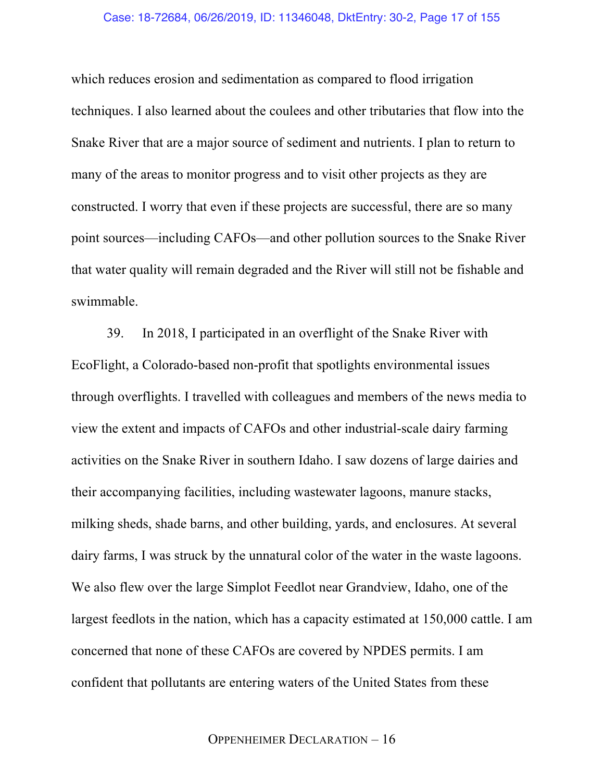which reduces erosion and sedimentation as compared to flood irrigation techniques. I also learned about the coulees and other tributaries that flow into the Snake River that are a major source of sediment and nutrients. I plan to return to many of the areas to monitor progress and to visit other projects as they are constructed. I worry that even if these projects are successful, there are so many point sources—including CAFOs—and other pollution sources to the Snake River that water quality will remain degraded and the River will still not be fishable and swimmable.

39. In 2018, I participated in an overflight of the Snake River with EcoFlight, a Colorado-based non-profit that spotlights environmental issues through overflights. I travelled with colleagues and members of the news media to view the extent and impacts of CAFOs and other industrial-scale dairy farming activities on the Snake River in southern Idaho. I saw dozens of large dairies and their accompanying facilities, including wastewater lagoons, manure stacks, milking sheds, shade barns, and other building, yards, and enclosures. At several dairy farms, I was struck by the unnatural color of the water in the waste lagoons. We also flew over the large Simplot Feedlot near Grandview, Idaho, one of the largest feedlots in the nation, which has a capacity estimated at 150,000 cattle. I am concerned that none of these CAFOs are covered by NPDES permits. I am confident that pollutants are entering waters of the United States from these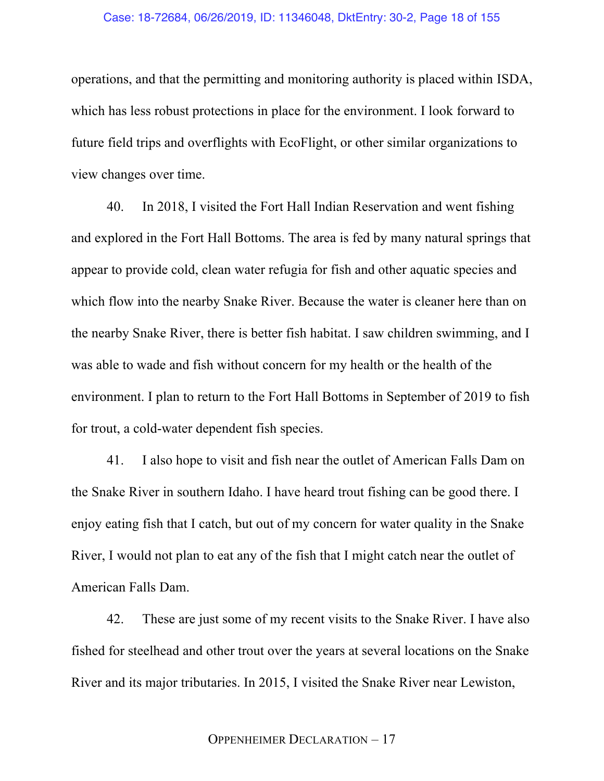#### Case: 18-72684, 06/26/2019, ID: 11346048, DktEntry: 30-2, Page 18 of 155

operations, and that the permitting and monitoring authority is placed within ISDA, which has less robust protections in place for the environment. I look forward to future field trips and overflights with EcoFlight, or other similar organizations to view changes over time.

40. In 2018, I visited the Fort Hall Indian Reservation and went fishing and explored in the Fort Hall Bottoms. The area is fed by many natural springs that appear to provide cold, clean water refugia for fish and other aquatic species and which flow into the nearby Snake River. Because the water is cleaner here than on the nearby Snake River, there is better fish habitat. I saw children swimming, and I was able to wade and fish without concern for my health or the health of the environment. I plan to return to the Fort Hall Bottoms in September of 2019 to fish for trout, a cold-water dependent fish species.

41. I also hope to visit and fish near the outlet of American Falls Dam on the Snake River in southern Idaho. I have heard trout fishing can be good there. I enjoy eating fish that I catch, but out of my concern for water quality in the Snake River, I would not plan to eat any of the fish that I might catch near the outlet of American Falls Dam.

42. These are just some of my recent visits to the Snake River. I have also fished for steelhead and other trout over the years at several locations on the Snake River and its major tributaries. In 2015, I visited the Snake River near Lewiston,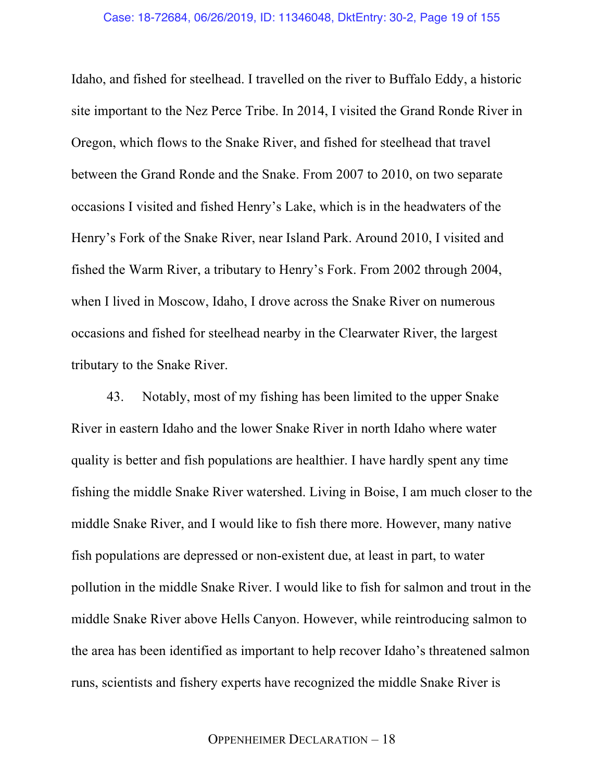Idaho, and fished for steelhead. I travelled on the river to Buffalo Eddy, a historic site important to the Nez Perce Tribe. In 2014, I visited the Grand Ronde River in Oregon, which flows to the Snake River, and fished for steelhead that travel between the Grand Ronde and the Snake. From 2007 to 2010, on two separate occasions I visited and fished Henry's Lake, which is in the headwaters of the Henry's Fork of the Snake River, near Island Park. Around 2010, I visited and fished the Warm River, a tributary to Henry's Fork. From 2002 through 2004, when I lived in Moscow, Idaho, I drove across the Snake River on numerous occasions and fished for steelhead nearby in the Clearwater River, the largest tributary to the Snake River.

43. Notably, most of my fishing has been limited to the upper Snake River in eastern Idaho and the lower Snake River in north Idaho where water quality is better and fish populations are healthier. I have hardly spent any time fishing the middle Snake River watershed. Living in Boise, I am much closer to the middle Snake River, and I would like to fish there more. However, many native fish populations are depressed or non-existent due, at least in part, to water pollution in the middle Snake River. I would like to fish for salmon and trout in the middle Snake River above Hells Canyon. However, while reintroducing salmon to the area has been identified as important to help recover Idaho's threatened salmon runs, scientists and fishery experts have recognized the middle Snake River is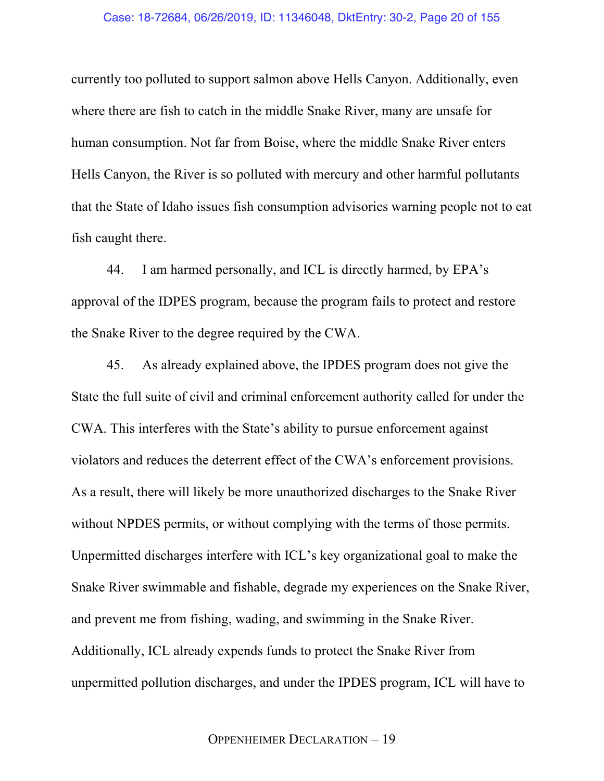currently too polluted to support salmon above Hells Canyon. Additionally, even where there are fish to catch in the middle Snake River, many are unsafe for human consumption. Not far from Boise, where the middle Snake River enters Hells Canyon, the River is so polluted with mercury and other harmful pollutants that the State of Idaho issues fish consumption advisories warning people not to eat fish caught there.

44. I am harmed personally, and ICL is directly harmed, by EPA's approval of the IDPES program, because the program fails to protect and restore the Snake River to the degree required by the CWA.

45. As already explained above, the IPDES program does not give the State the full suite of civil and criminal enforcement authority called for under the CWA. This interferes with the State's ability to pursue enforcement against violators and reduces the deterrent effect of the CWA's enforcement provisions. As a result, there will likely be more unauthorized discharges to the Snake River without NPDES permits, or without complying with the terms of those permits. Unpermitted discharges interfere with ICL's key organizational goal to make the Snake River swimmable and fishable, degrade my experiences on the Snake River, and prevent me from fishing, wading, and swimming in the Snake River. Additionally, ICL already expends funds to protect the Snake River from unpermitted pollution discharges, and under the IPDES program, ICL will have to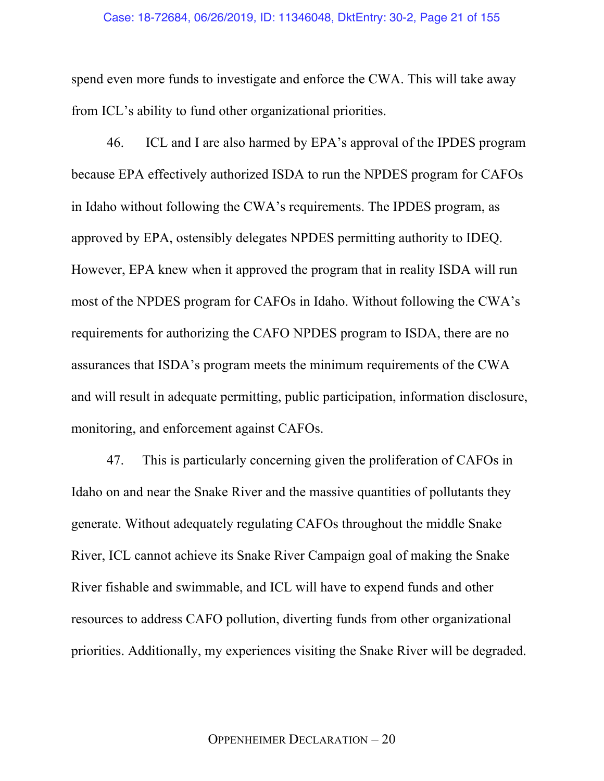spend even more funds to investigate and enforce the CWA. This will take away from ICL's ability to fund other organizational priorities.

46. ICL and I are also harmed by EPA's approval of the IPDES program because EPA effectively authorized ISDA to run the NPDES program for CAFOs in Idaho without following the CWA's requirements. The IPDES program, as approved by EPA, ostensibly delegates NPDES permitting authority to IDEQ. However, EPA knew when it approved the program that in reality ISDA will run most of the NPDES program for CAFOs in Idaho. Without following the CWA's requirements for authorizing the CAFO NPDES program to ISDA, there are no assurances that ISDA's program meets the minimum requirements of the CWA and will result in adequate permitting, public participation, information disclosure, monitoring, and enforcement against CAFOs.

47. This is particularly concerning given the proliferation of CAFOs in Idaho on and near the Snake River and the massive quantities of pollutants they generate. Without adequately regulating CAFOs throughout the middle Snake River, ICL cannot achieve its Snake River Campaign goal of making the Snake River fishable and swimmable, and ICL will have to expend funds and other resources to address CAFO pollution, diverting funds from other organizational priorities. Additionally, my experiences visiting the Snake River will be degraded.